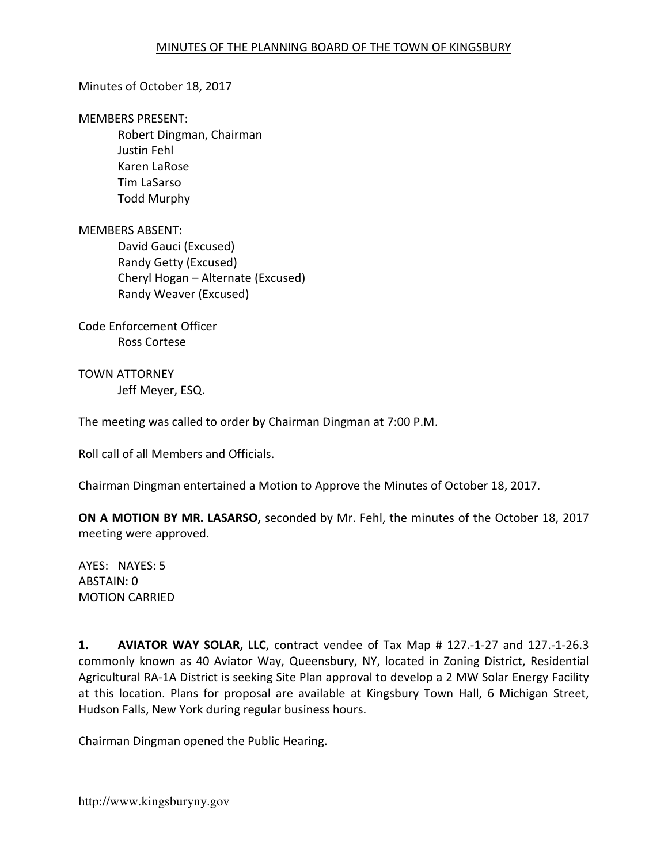#### Minutes of October 18, 2017

#### MEMBERS PRESENT:

Robert Dingman, Chairman Justin Fehl Karen LaRose Tim LaSarso Todd Murphy

#### MEMBERS ABSENT:

David Gauci (Excused) Randy Getty (Excused) Cheryl Hogan – Alternate (Excused) Randy Weaver (Excused)

Code Enforcement Officer Ross Cortese

TOWN ATTORNEY Jeff Meyer, ESQ.

The meeting was called to order by Chairman Dingman at 7:00 P.M.

Roll call of all Members and Officials.

Chairman Dingman entertained a Motion to Approve the Minutes of October 18, 2017.

ON A MOTION BY MR. LASARSO, seconded by Mr. Fehl, the minutes of the October 18, 2017 meeting were approved.

AYES: NAYES: 5 ABSTAIN: 0 MOTION CARRIED

1. AVIATOR WAY SOLAR, LLC, contract vendee of Tax Map # 127.-1-27 and 127.-1-26.3 commonly known as 40 Aviator Way, Queensbury, NY, located in Zoning District, Residential Agricultural RA-1A District is seeking Site Plan approval to develop a 2 MW Solar Energy Facility at this location. Plans for proposal are available at Kingsbury Town Hall, 6 Michigan Street, Hudson Falls, New York during regular business hours.

Chairman Dingman opened the Public Hearing.

http://www.kingsburyny.gov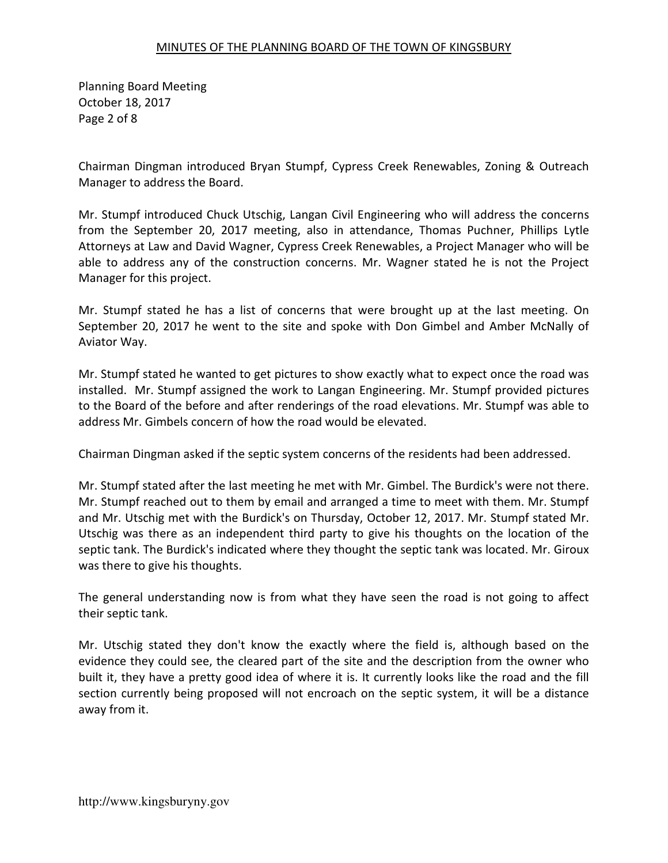Planning Board Meeting October 18, 2017 Page 2 of 8

Chairman Dingman introduced Bryan Stumpf, Cypress Creek Renewables, Zoning & Outreach Manager to address the Board.

Mr. Stumpf introduced Chuck Utschig, Langan Civil Engineering who will address the concerns from the September 20, 2017 meeting, also in attendance, Thomas Puchner, Phillips Lytle Attorneys at Law and David Wagner, Cypress Creek Renewables, a Project Manager who will be able to address any of the construction concerns. Mr. Wagner stated he is not the Project Manager for this project.

Mr. Stumpf stated he has a list of concerns that were brought up at the last meeting. On September 20, 2017 he went to the site and spoke with Don Gimbel and Amber McNally of Aviator Way.

Mr. Stumpf stated he wanted to get pictures to show exactly what to expect once the road was installed. Mr. Stumpf assigned the work to Langan Engineering. Mr. Stumpf provided pictures to the Board of the before and after renderings of the road elevations. Mr. Stumpf was able to address Mr. Gimbels concern of how the road would be elevated.

Chairman Dingman asked if the septic system concerns of the residents had been addressed.

Mr. Stumpf stated after the last meeting he met with Mr. Gimbel. The Burdick's were not there. Mr. Stumpf reached out to them by email and arranged a time to meet with them. Mr. Stumpf and Mr. Utschig met with the Burdick's on Thursday, October 12, 2017. Mr. Stumpf stated Mr. Utschig was there as an independent third party to give his thoughts on the location of the septic tank. The Burdick's indicated where they thought the septic tank was located. Mr. Giroux was there to give his thoughts.

The general understanding now is from what they have seen the road is not going to affect their septic tank.

Mr. Utschig stated they don't know the exactly where the field is, although based on the evidence they could see, the cleared part of the site and the description from the owner who built it, they have a pretty good idea of where it is. It currently looks like the road and the fill section currently being proposed will not encroach on the septic system, it will be a distance away from it.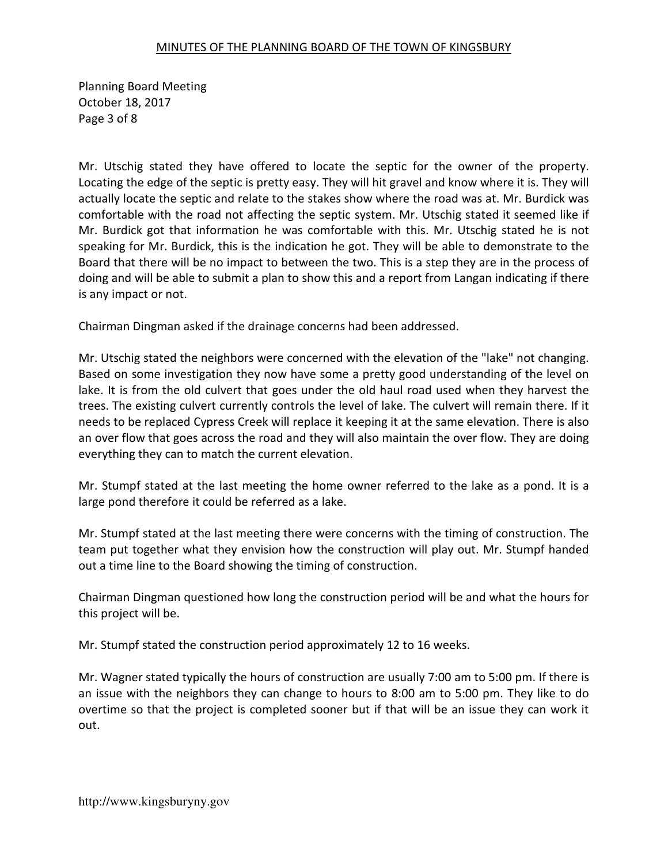Planning Board Meeting October 18, 2017 Page 3 of 8

Mr. Utschig stated they have offered to locate the septic for the owner of the property. Locating the edge of the septic is pretty easy. They will hit gravel and know where it is. They will actually locate the septic and relate to the stakes show where the road was at. Mr. Burdick was comfortable with the road not affecting the septic system. Mr. Utschig stated it seemed like if Mr. Burdick got that information he was comfortable with this. Mr. Utschig stated he is not speaking for Mr. Burdick, this is the indication he got. They will be able to demonstrate to the Board that there will be no impact to between the two. This is a step they are in the process of doing and will be able to submit a plan to show this and a report from Langan indicating if there is any impact or not.

Chairman Dingman asked if the drainage concerns had been addressed.

Mr. Utschig stated the neighbors were concerned with the elevation of the "lake" not changing. Based on some investigation they now have some a pretty good understanding of the level on lake. It is from the old culvert that goes under the old haul road used when they harvest the trees. The existing culvert currently controls the level of lake. The culvert will remain there. If it needs to be replaced Cypress Creek will replace it keeping it at the same elevation. There is also an over flow that goes across the road and they will also maintain the over flow. They are doing everything they can to match the current elevation.

Mr. Stumpf stated at the last meeting the home owner referred to the lake as a pond. It is a large pond therefore it could be referred as a lake.

Mr. Stumpf stated at the last meeting there were concerns with the timing of construction. The team put together what they envision how the construction will play out. Mr. Stumpf handed out a time line to the Board showing the timing of construction.

Chairman Dingman questioned how long the construction period will be and what the hours for this project will be.

Mr. Stumpf stated the construction period approximately 12 to 16 weeks.

Mr. Wagner stated typically the hours of construction are usually 7:00 am to 5:00 pm. If there is an issue with the neighbors they can change to hours to 8:00 am to 5:00 pm. They like to do overtime so that the project is completed sooner but if that will be an issue they can work it out.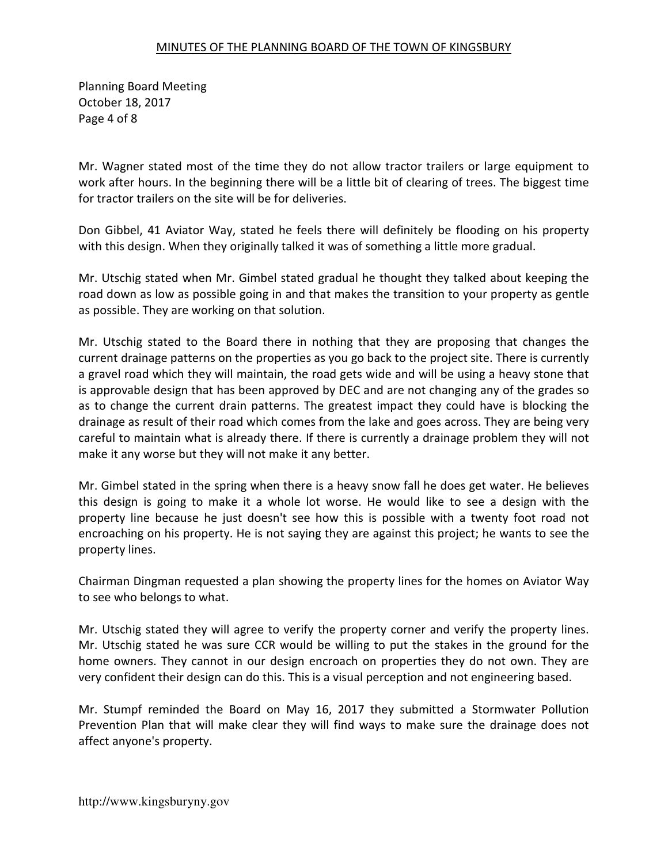Planning Board Meeting October 18, 2017 Page 4 of 8

Mr. Wagner stated most of the time they do not allow tractor trailers or large equipment to work after hours. In the beginning there will be a little bit of clearing of trees. The biggest time for tractor trailers on the site will be for deliveries.

Don Gibbel, 41 Aviator Way, stated he feels there will definitely be flooding on his property with this design. When they originally talked it was of something a little more gradual.

Mr. Utschig stated when Mr. Gimbel stated gradual he thought they talked about keeping the road down as low as possible going in and that makes the transition to your property as gentle as possible. They are working on that solution.

Mr. Utschig stated to the Board there in nothing that they are proposing that changes the current drainage patterns on the properties as you go back to the project site. There is currently a gravel road which they will maintain, the road gets wide and will be using a heavy stone that is approvable design that has been approved by DEC and are not changing any of the grades so as to change the current drain patterns. The greatest impact they could have is blocking the drainage as result of their road which comes from the lake and goes across. They are being very careful to maintain what is already there. If there is currently a drainage problem they will not make it any worse but they will not make it any better.

Mr. Gimbel stated in the spring when there is a heavy snow fall he does get water. He believes this design is going to make it a whole lot worse. He would like to see a design with the property line because he just doesn't see how this is possible with a twenty foot road not encroaching on his property. He is not saying they are against this project; he wants to see the property lines.

Chairman Dingman requested a plan showing the property lines for the homes on Aviator Way to see who belongs to what.

Mr. Utschig stated they will agree to verify the property corner and verify the property lines. Mr. Utschig stated he was sure CCR would be willing to put the stakes in the ground for the home owners. They cannot in our design encroach on properties they do not own. They are very confident their design can do this. This is a visual perception and not engineering based.

Mr. Stumpf reminded the Board on May 16, 2017 they submitted a Stormwater Pollution Prevention Plan that will make clear they will find ways to make sure the drainage does not affect anyone's property.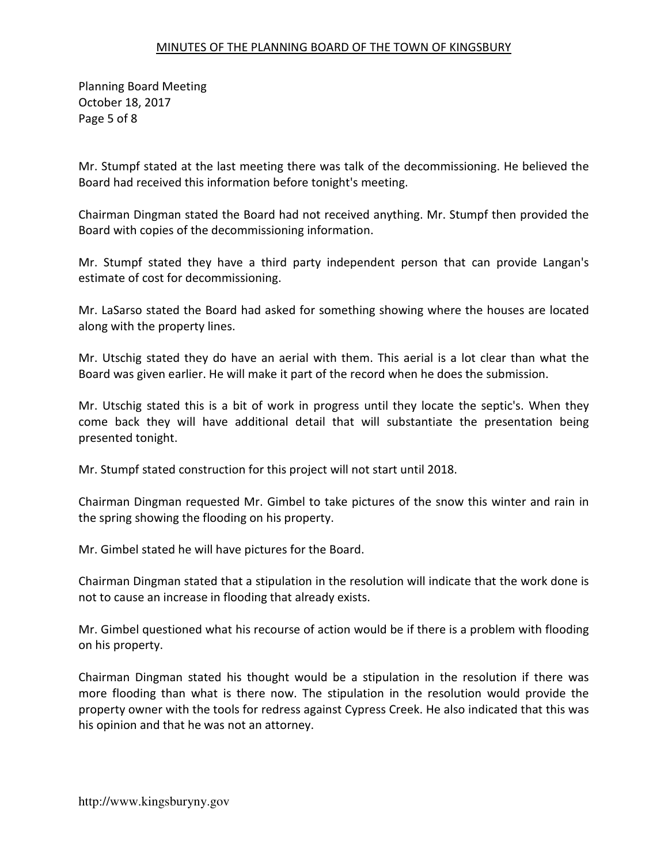Planning Board Meeting October 18, 2017 Page 5 of 8

Mr. Stumpf stated at the last meeting there was talk of the decommissioning. He believed the Board had received this information before tonight's meeting.

Chairman Dingman stated the Board had not received anything. Mr. Stumpf then provided the Board with copies of the decommissioning information.

Mr. Stumpf stated they have a third party independent person that can provide Langan's estimate of cost for decommissioning.

Mr. LaSarso stated the Board had asked for something showing where the houses are located along with the property lines.

Mr. Utschig stated they do have an aerial with them. This aerial is a lot clear than what the Board was given earlier. He will make it part of the record when he does the submission.

Mr. Utschig stated this is a bit of work in progress until they locate the septic's. When they come back they will have additional detail that will substantiate the presentation being presented tonight.

Mr. Stumpf stated construction for this project will not start until 2018.

Chairman Dingman requested Mr. Gimbel to take pictures of the snow this winter and rain in the spring showing the flooding on his property.

Mr. Gimbel stated he will have pictures for the Board.

Chairman Dingman stated that a stipulation in the resolution will indicate that the work done is not to cause an increase in flooding that already exists.

Mr. Gimbel questioned what his recourse of action would be if there is a problem with flooding on his property.

Chairman Dingman stated his thought would be a stipulation in the resolution if there was more flooding than what is there now. The stipulation in the resolution would provide the property owner with the tools for redress against Cypress Creek. He also indicated that this was his opinion and that he was not an attorney.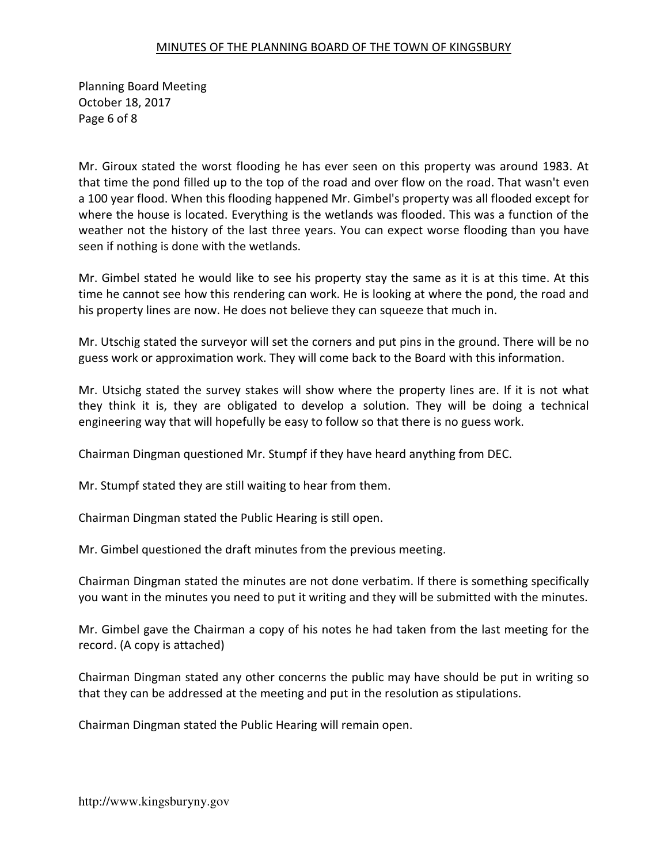Planning Board Meeting October 18, 2017 Page 6 of 8

Mr. Giroux stated the worst flooding he has ever seen on this property was around 1983. At that time the pond filled up to the top of the road and over flow on the road. That wasn't even a 100 year flood. When this flooding happened Mr. Gimbel's property was all flooded except for where the house is located. Everything is the wetlands was flooded. This was a function of the weather not the history of the last three years. You can expect worse flooding than you have seen if nothing is done with the wetlands.

Mr. Gimbel stated he would like to see his property stay the same as it is at this time. At this time he cannot see how this rendering can work. He is looking at where the pond, the road and his property lines are now. He does not believe they can squeeze that much in.

Mr. Utschig stated the surveyor will set the corners and put pins in the ground. There will be no guess work or approximation work. They will come back to the Board with this information.

Mr. Utsichg stated the survey stakes will show where the property lines are. If it is not what they think it is, they are obligated to develop a solution. They will be doing a technical engineering way that will hopefully be easy to follow so that there is no guess work.

Chairman Dingman questioned Mr. Stumpf if they have heard anything from DEC.

Mr. Stumpf stated they are still waiting to hear from them.

Chairman Dingman stated the Public Hearing is still open.

Mr. Gimbel questioned the draft minutes from the previous meeting.

Chairman Dingman stated the minutes are not done verbatim. If there is something specifically you want in the minutes you need to put it writing and they will be submitted with the minutes.

Mr. Gimbel gave the Chairman a copy of his notes he had taken from the last meeting for the record. (A copy is attached)

Chairman Dingman stated any other concerns the public may have should be put in writing so that they can be addressed at the meeting and put in the resolution as stipulations.

Chairman Dingman stated the Public Hearing will remain open.

http://www.kingsburyny.gov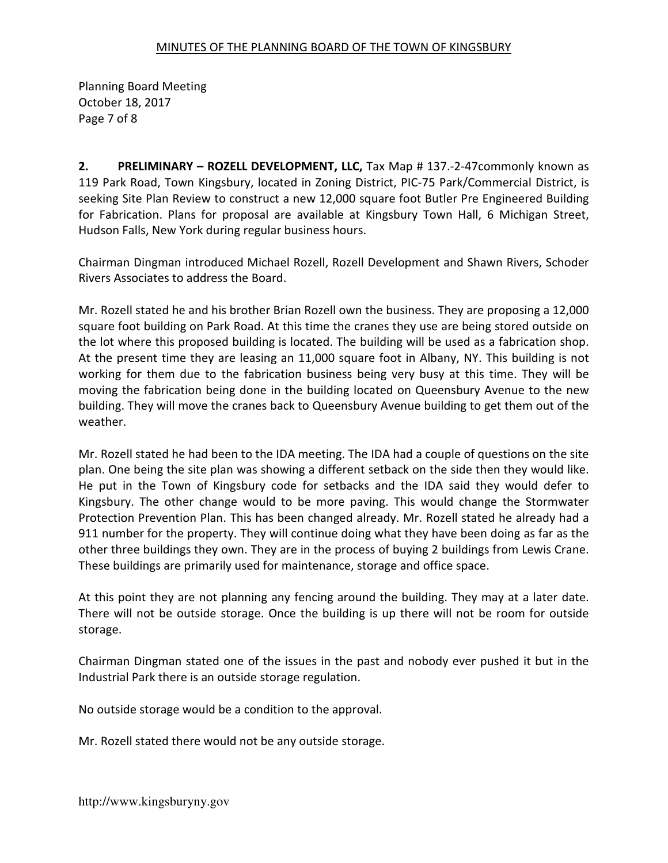Planning Board Meeting October 18, 2017 Page 7 of 8

2. PRELIMINARY – ROZELL DEVELOPMENT, LLC, Tax Map # 137.-2-47commonly known as 119 Park Road, Town Kingsbury, located in Zoning District, PIC-75 Park/Commercial District, is seeking Site Plan Review to construct a new 12,000 square foot Butler Pre Engineered Building for Fabrication. Plans for proposal are available at Kingsbury Town Hall, 6 Michigan Street, Hudson Falls, New York during regular business hours.

Chairman Dingman introduced Michael Rozell, Rozell Development and Shawn Rivers, Schoder Rivers Associates to address the Board.

Mr. Rozell stated he and his brother Brian Rozell own the business. They are proposing a 12,000 square foot building on Park Road. At this time the cranes they use are being stored outside on the lot where this proposed building is located. The building will be used as a fabrication shop. At the present time they are leasing an 11,000 square foot in Albany, NY. This building is not working for them due to the fabrication business being very busy at this time. They will be moving the fabrication being done in the building located on Queensbury Avenue to the new building. They will move the cranes back to Queensbury Avenue building to get them out of the weather.

Mr. Rozell stated he had been to the IDA meeting. The IDA had a couple of questions on the site plan. One being the site plan was showing a different setback on the side then they would like. He put in the Town of Kingsbury code for setbacks and the IDA said they would defer to Kingsbury. The other change would to be more paving. This would change the Stormwater Protection Prevention Plan. This has been changed already. Mr. Rozell stated he already had a 911 number for the property. They will continue doing what they have been doing as far as the other three buildings they own. They are in the process of buying 2 buildings from Lewis Crane. These buildings are primarily used for maintenance, storage and office space.

At this point they are not planning any fencing around the building. They may at a later date. There will not be outside storage. Once the building is up there will not be room for outside storage.

Chairman Dingman stated one of the issues in the past and nobody ever pushed it but in the Industrial Park there is an outside storage regulation.

No outside storage would be a condition to the approval.

Mr. Rozell stated there would not be any outside storage.

http://www.kingsburyny.gov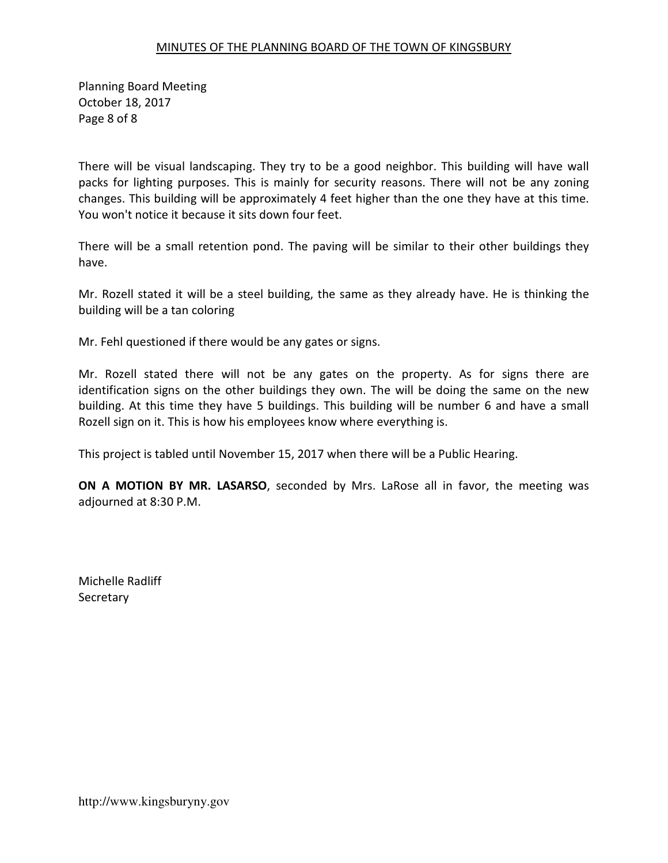Planning Board Meeting October 18, 2017 Page 8 of 8

There will be visual landscaping. They try to be a good neighbor. This building will have wall packs for lighting purposes. This is mainly for security reasons. There will not be any zoning changes. This building will be approximately 4 feet higher than the one they have at this time. You won't notice it because it sits down four feet.

There will be a small retention pond. The paving will be similar to their other buildings they have.

Mr. Rozell stated it will be a steel building, the same as they already have. He is thinking the building will be a tan coloring

Mr. Fehl questioned if there would be any gates or signs.

Mr. Rozell stated there will not be any gates on the property. As for signs there are identification signs on the other buildings they own. The will be doing the same on the new building. At this time they have 5 buildings. This building will be number 6 and have a small Rozell sign on it. This is how his employees know where everything is.

This project is tabled until November 15, 2017 when there will be a Public Hearing.

ON A MOTION BY MR. LASARSO, seconded by Mrs. LaRose all in favor, the meeting was adjourned at 8:30 P.M.

Michelle Radliff **Secretary**